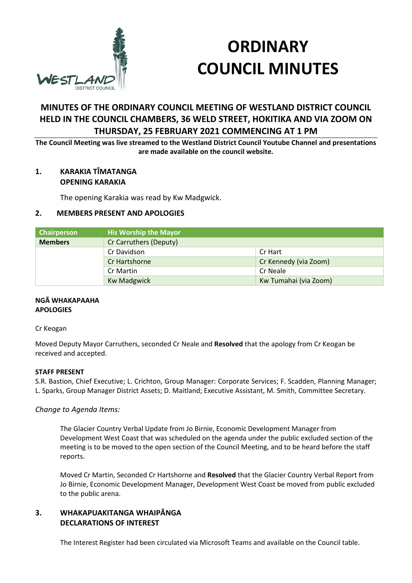

# **ORDINARY COUNCIL MINUTES**

## **MINUTES OF THE ORDINARY COUNCIL MEETING OF WESTLAND DISTRICT COUNCIL HELD IN THE COUNCIL CHAMBERS, 36 WELD STREET, HOKITIKA AND VIA ZOOM ON THURSDAY, 25 FEBRUARY 2021 COMMENCING AT 1 PM**

**The Council Meeting was live streamed to the Westland District Council Youtube Channel and presentations are made available on the council website.** 

## **1. KARAKIA TĪMATANGA OPENING KARAKIA**

The opening Karakia was read by Kw Madgwick.

## **2. MEMBERS PRESENT AND APOLOGIES**

| Chairperson    | <b>His Worship the Mayor</b> |                       |
|----------------|------------------------------|-----------------------|
| <b>Members</b> | Cr Carruthers (Deputy)       |                       |
|                | Cr Davidson                  | Cr Hart               |
|                | Cr Hartshorne                | Cr Kennedy (via Zoom) |
|                | Cr Martin                    | Cr Neale              |
|                | <b>Kw Madgwick</b>           | Kw Tumahai (via Zoom) |

#### **NGĀ WHAKAPAAHA APOLOGIES**

Cr Keogan

Moved Deputy Mayor Carruthers, seconded Cr Neale and **Resolved** that the apology from Cr Keogan be received and accepted.

#### **STAFF PRESENT**

S.R. Bastion, Chief Executive; L. Crichton, Group Manager: Corporate Services; F. Scadden, Planning Manager; L. Sparks, Group Manager District Assets; D. Maitland; Executive Assistant, M. Smith, Committee Secretary.

## *Change to Agenda Items:*

The Glacier Country Verbal Update from Jo Birnie, Economic Development Manager from Development West Coast that was scheduled on the agenda under the public excluded section of the meeting is to be moved to the open section of the Council Meeting, and to be heard before the staff reports.

Moved Cr Martin, Seconded Cr Hartshorne and **Resolved** that the Glacier Country Verbal Report from Jo Birnie, Economic Development Manager, Development West Coast be moved from public excluded to the public arena.

## **3. WHAKAPUAKITANGA WHAIPĀNGA DECLARATIONS OF INTEREST**

The Interest Register had been circulated via Microsoft Teams and available on the Council table.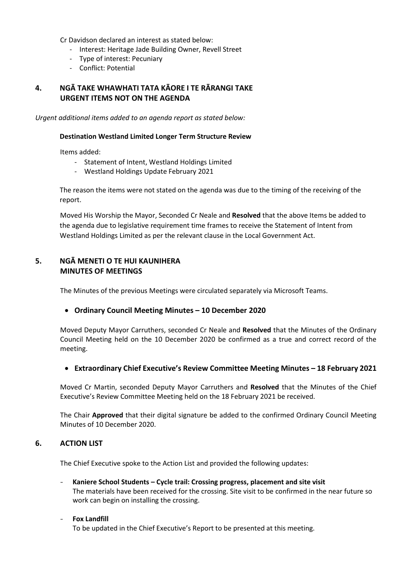Cr Davidson declared an interest as stated below:

- Interest: Heritage Jade Building Owner, Revell Street
- Type of interest: Pecuniary
- Conflict: Potential

## **4. NGĀ TAKE WHAWHATI TATA KĀORE I TE RĀRANGI TAKE URGENT ITEMS NOT ON THE AGENDA**

*Urgent additional items added to an agenda report as stated below:* 

#### **Destination Westland Limited Longer Term Structure Review**

Items added:

- Statement of Intent, Westland Holdings Limited
- Westland Holdings Update February 2021

The reason the items were not stated on the agenda was due to the timing of the receiving of the report.

 Moved His Worship the Mayor, Seconded Cr Neale and **Resolved** that the above Items be added to the agenda due to legislative requirement time frames to receive the Statement of Intent from Westland Holdings Limited as per the relevant clause in the Local Government Act.

## **5. NGĀ MENETI O TE HUI KAUNIHERA MINUTES OF MEETINGS**

The Minutes of the previous Meetings were circulated separately via Microsoft Teams.

## **Ordinary Council Meeting Minutes – 10 December 2020**

Moved Deputy Mayor Carruthers, seconded Cr Neale and **Resolved** that the Minutes of the Ordinary Council Meeting held on the 10 December 2020 be confirmed as a true and correct record of the meeting.

## **Extraordinary Chief Executive's Review Committee Meeting Minutes – 18 February 2021**

Moved Cr Martin, seconded Deputy Mayor Carruthers and **Resolved** that the Minutes of the Chief Executive's Review Committee Meeting held on the 18 February 2021 be received.

The Chair **Approved** that their digital signature be added to the confirmed Ordinary Council Meeting Minutes of 10 December 2020.

## **6. ACTION LIST**

The Chief Executive spoke to the Action List and provided the following updates:

- **Kaniere School Students – Cycle trail: Crossing progress, placement and site visit**  The materials have been received for the crossing. Site visit to be confirmed in the near future so work can begin on installing the crossing.

#### - **Fox Landfill**

To be updated in the Chief Executive's Report to be presented at this meeting.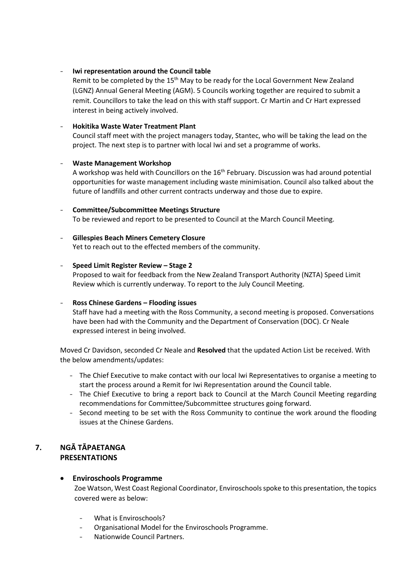## - **Iwi representation around the Council table**

Remit to be completed by the  $15<sup>th</sup>$  May to be ready for the Local Government New Zealand (LGNZ) Annual General Meeting (AGM). 5 Councils working together are required to submit a remit. Councillors to take the lead on this with staff support. Cr Martin and Cr Hart expressed interest in being actively involved.

## - **Hokitika Waste Water Treatment Plant**

Council staff meet with the project managers today, Stantec, who will be taking the lead on the project. The next step is to partner with local Iwi and set a programme of works.

#### - **Waste Management Workshop**

A workshop was held with Councillors on the 16<sup>th</sup> February. Discussion was had around potential opportunities for waste management including waste minimisation. Council also talked about the future of landfills and other current contracts underway and those due to expire.

## - **Committee/Subcommittee Meetings Structure**  To be reviewed and report to be presented to Council at the March Council Meeting.

#### - **Gillespies Beach Miners Cemetery Closure**

Yet to reach out to the effected members of the community.

#### - **Speed Limit Register Review – Stage 2**

Proposed to wait for feedback from the New Zealand Transport Authority (NZTA) Speed Limit Review which is currently underway. To report to the July Council Meeting.

## - **Ross Chinese Gardens – Flooding issues**

Staff have had a meeting with the Ross Community, a second meeting is proposed. Conversations have been had with the Community and the Department of Conservation (DOC). Cr Neale expressed interest in being involved.

Moved Cr Davidson, seconded Cr Neale and **Resolved** that the updated Action List be received. With the below amendments/updates:

- The Chief Executive to make contact with our local Iwi Representatives to organise a meeting to start the process around a Remit for Iwi Representation around the Council table.
- The Chief Executive to bring a report back to Council at the March Council Meeting regarding recommendations for Committee/Subcommittee structures going forward.
- Second meeting to be set with the Ross Community to continue the work around the flooding issues at the Chinese Gardens.

## **7. NGĀ TĀPAETANGA PRESENTATIONS**

## **Enviroschools Programme**

Zoe Watson, West Coast Regional Coordinator, Enviroschools spoke to this presentation, the topics covered were as below:

- What is Enviroschools?
- Organisational Model for the Enviroschools Programme.
- Nationwide Council Partners.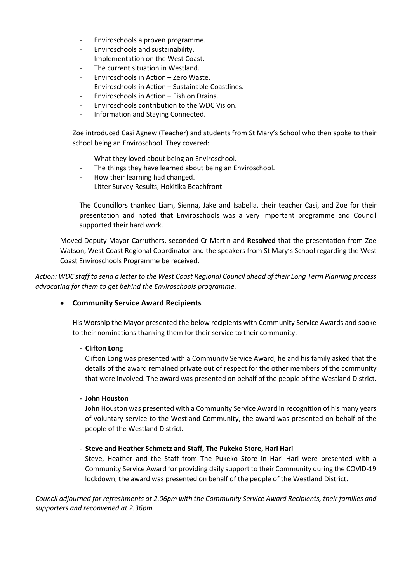- Enviroschools a proven programme.
- Enviroschools and sustainability.
- Implementation on the West Coast.
- The current situation in Westland.
- Enviroschools in Action Zero Waste.
- Enviroschools in Action Sustainable Coastlines.
- Enviroschools in Action Fish on Drains.
- Enviroschools contribution to the WDC Vision.
- Information and Staying Connected.

Zoe introduced Casi Agnew (Teacher) and students from St Mary's School who then spoke to their school being an Enviroschool. They covered:

- What they loved about being an Enviroschool.
- The things they have learned about being an Enviroschool.
- How their learning had changed.
- Litter Survey Results, Hokitika Beachfront

The Councillors thanked Liam, Sienna, Jake and Isabella, their teacher Casi, and Zoe for their presentation and noted that Enviroschools was a very important programme and Council supported their hard work.

Moved Deputy Mayor Carruthers, seconded Cr Martin and **Resolved** that the presentation from Zoe Watson, West Coast Regional Coordinator and the speakers from St Mary's School regarding the West Coast Enviroschools Programme be received.

*Action: WDC staff to send a letter to the West Coast Regional Council ahead of their Long Term Planning process advocating for them to get behind the Enviroschools programme.* 

## **Community Service Award Recipients**

His Worship the Mayor presented the below recipients with Community Service Awards and spoke to their nominations thanking them for their service to their community.

#### **- Clifton Long**

Clifton Long was presented with a Community Service Award, he and his family asked that the details of the award remained private out of respect for the other members of the community that were involved. The award was presented on behalf of the people of the Westland District.

#### **- John Houston**

John Houston was presented with a Community Service Award in recognition of his many years of voluntary service to the Westland Community, the award was presented on behalf of the people of the Westland District.

#### **- Steve and Heather Schmetz and Staff, The Pukeko Store, Hari Hari**

Steve, Heather and the Staff from The Pukeko Store in Hari Hari were presented with a Community Service Award for providing daily support to their Community during the COVID-19 lockdown, the award was presented on behalf of the people of the Westland District.

*Council adjourned for refreshments at 2.06pm with the Community Service Award Recipients, their families and supporters and reconvened at 2.36pm.*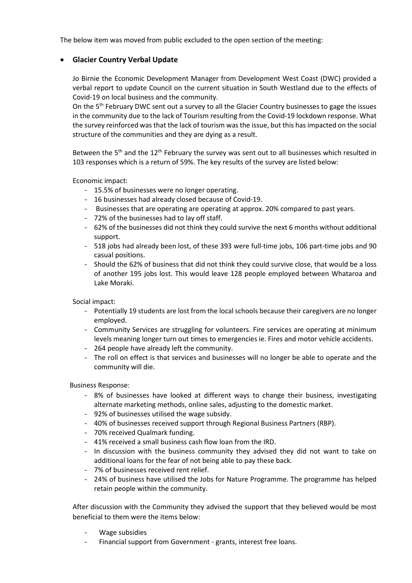The below item was moved from public excluded to the open section of the meeting:

## **Glacier Country Verbal Update**

Jo Birnie the Economic Development Manager from Development West Coast (DWC) provided a verbal report to update Council on the current situation in South Westland due to the effects of Covid-19 on local business and the community.

On the 5<sup>th</sup> February DWC sent out a survey to all the Glacier Country businesses to gage the issues in the community due to the lack of Tourism resulting from the Covid-19 lockdown response. What the survey reinforced was that the lack of tourism was the issue, but this has impacted on the social structure of the communities and they are dying as a result.

Between the 5<sup>th</sup> and the 12<sup>th</sup> February the survey was sent out to all businesses which resulted in 103 responses which is a return of 59%. The key results of the survey are listed below:

Economic impact:

- 15.5% of businesses were no longer operating.
- 16 businesses had already closed because of Covid-19.
- Businesses that are operating are operating at approx. 20% compared to past years.
- 72% of the businesses had to lay off staff.
- 62% of the businesses did not think they could survive the next 6 months without additional support.
- 518 jobs had already been lost, of these 393 were full-time jobs, 106 part-time jobs and 90 casual positions.
- Should the 62% of business that did not think they could survive close, that would be a loss of another 195 jobs lost. This would leave 128 people employed between Whataroa and Lake Moraki.

Social impact:

- Potentially 19 students are lost from the local schools because their caregivers are no longer employed.
- Community Services are struggling for volunteers. Fire services are operating at minimum levels meaning longer turn out times to emergencies ie. Fires and motor vehicle accidents.
- 264 people have already left the community.
- The roll on effect is that services and businesses will no longer be able to operate and the community will die.

#### Business Response:

- 8% of businesses have looked at different ways to change their business, investigating alternate marketing methods, online sales, adjusting to the domestic market.
- 92% of businesses utilised the wage subsidy.
- 40% of businesses received support through Regional Business Partners (RBP).
- 70% received Qualmark funding.
- 41% received a small business cash flow loan from the IRD.
- In discussion with the business community they advised they did not want to take on additional loans for the fear of not being able to pay these back.
- 7% of businesses received rent relief.
- 24% of business have utilised the Jobs for Nature Programme. The programme has helped retain people within the community.

After discussion with the Community they advised the support that they believed would be most beneficial to them were the items below:

- Wage subsidies
- Financial support from Government grants, interest free loans.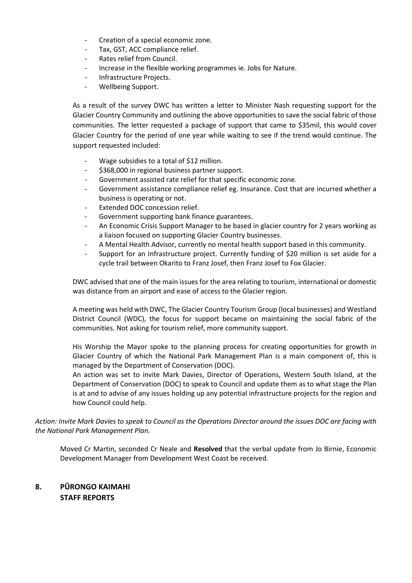- Creation of a special economic zone.
- Tax, GST, ACC compliance relief.
- Rates relief from Council.
- Increase in the flexible working programmes ie. Jobs for Nature.
- Infrastructure Projects.
- Wellbeing Support.

As a result of the survey DWC has written a letter to Minister Nash requesting support for the Glacier Country Community and outlining the above opportunities to save the social fabric of those communities. The letter requested a package of support that came to \$35mil, this would cover Glacier Country for the period of one year while waiting to see if the trend would continue. The support requested included:

- Wage subsidies to a total of \$12 million.
- \$368,000 in regional business partner support.
- Government assisted rate relief for that specific economic zone.
- Government assistance compliance relief eg. Insurance. Cost that are incurred whether a business is operating or not.
- Extended DOC concession relief.
- Government supporting bank finance guarantees.
- An Economic Crisis Support Manager to be based in glacier country for 2 years working as a liaison focused on supporting Glacier Country businesses.
- A Mental Health Advisor, currently no mental health support based in this community.
- Support for an Infrastructure project. Currently funding of \$20 million is set aside for a cycle trail between Okarito to Franz Josef, then Franz Josef to Fox Glacier.

DWC advised that one of the main issues for the area relating to tourism, international or domestic was distance from an airport and ease of access to the Glacier region.

A meeting was held with DWC, The Glacier Country Tourism Group (local businesses) and Westland District Council (WDC), the focus for support became on maintaining the social fabric of the communities. Not asking for tourism relief, more community support.

His Worship the Mayor spoke to the planning process for creating opportunities for growth in Glacier Country of which the National Park Management Plan is a main component of, this is managed by the Department of Conservation (DOC).

An action was set to invite Mark Davies, Director of Operations, Western South Island, at the Department of Conservation (DOC) to speak to Council and update them as to what stage the Plan is at and to advise of any issues holding up any potential infrastructure projects for the region and how Council could help.

*Action: Invite Mark Davies to speak to Council as the Operations Director around the issues DOC are facing with the National Park Management Plan.* 

Moved Cr Martin, seconded Cr Neale and **Resolved** that the verbal update from Jo Birnie, Economic Development Manager from Development West Coast be received.

## **8. PŪRONGO KAIMAHI STAFF REPORTS**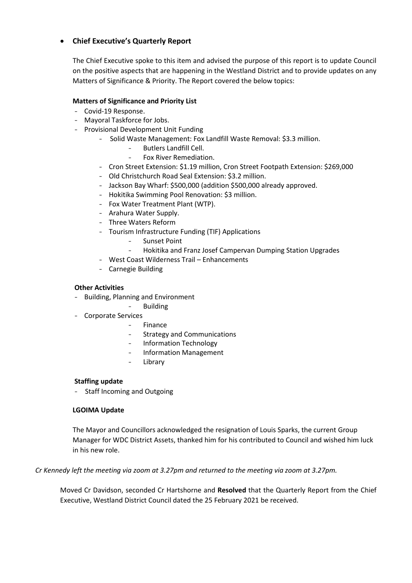## **Chief Executive's Quarterly Report**

The Chief Executive spoke to this item and advised the purpose of this report is to update Council on the positive aspects that are happening in the Westland District and to provide updates on any Matters of Significance & Priority. The Report covered the below topics:

## **Matters of Significance and Priority List**

- Covid-19 Response.
- Mayoral Taskforce for Jobs.
- Provisional Development Unit Funding
	- Solid Waste Management: Fox Landfill Waste Removal: \$3.3 million.
		- Butlers Landfill Cell.
		- Fox River Remediation.
	- Cron Street Extension: \$1.19 million, Cron Street Footpath Extension: \$269,000
	- Old Christchurch Road Seal Extension: \$3.2 million.
	- Jackson Bay Wharf: \$500,000 (addition \$500,000 already approved.
	- Hokitika Swimming Pool Renovation: \$3 million.
	- Fox Water Treatment Plant (WTP).
	- Arahura Water Supply.
	- Three Waters Reform
	- Tourism Infrastructure Funding (TIF) Applications
		- Sunset Point
		- Hokitika and Franz Josef Campervan Dumping Station Upgrades
	- West Coast Wilderness Trail Enhancements
	- Carnegie Building

#### **Other Activities**

- Building, Planning and Environment
	- Building
- Corporate Services
	- Finance
		- Strategy and Communications
	- Information Technology
	- Information Management
	- Library

#### **Staffing update**

- Staff Incoming and Outgoing

#### **LGOIMA Update**

The Mayor and Councillors acknowledged the resignation of Louis Sparks, the current Group Manager for WDC District Assets, thanked him for his contributed to Council and wished him luck in his new role.

*Cr Kennedy left the meeting via zoom at 3.27pm and returned to the meeting via zoom at 3.27pm.* 

Moved Cr Davidson, seconded Cr Hartshorne and **Resolved** that the Quarterly Report from the Chief Executive, Westland District Council dated the 25 February 2021 be received.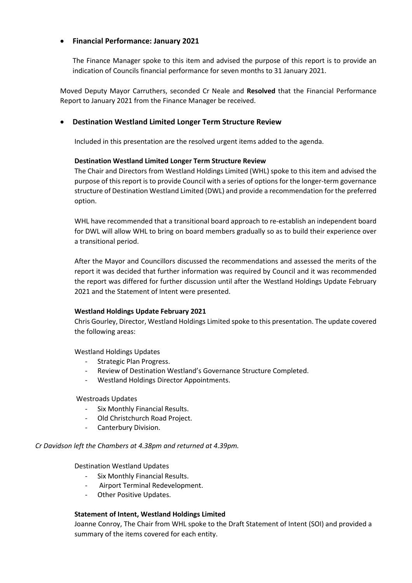## **Financial Performance: January 2021**

The Finance Manager spoke to this item and advised the purpose of this report is to provide an indication of Councils financial performance for seven months to 31 January 2021.

Moved Deputy Mayor Carruthers, seconded Cr Neale and **Resolved** that the Financial Performance Report to January 2021 from the Finance Manager be received.

## **Destination Westland Limited Longer Term Structure Review**

Included in this presentation are the resolved urgent items added to the agenda.

#### **Destination Westland Limited Longer Term Structure Review**

The Chair and Directors from Westland Holdings Limited (WHL) spoke to this item and advised the purpose of this report is to provide Council with a series of options for the longer-term governance structure of Destination Westland Limited (DWL) and provide a recommendation for the preferred option.

WHL have recommended that a transitional board approach to re-establish an independent board for DWL will allow WHL to bring on board members gradually so as to build their experience over a transitional period.

After the Mayor and Councillors discussed the recommendations and assessed the merits of the report it was decided that further information was required by Council and it was recommended the report was differed for further discussion until after the Westland Holdings Update February 2021 and the Statement of Intent were presented.

#### **Westland Holdings Update February 2021**

Chris Gourley, Director, Westland Holdings Limited spoke to this presentation. The update covered the following areas:

Westland Holdings Updates

- Strategic Plan Progress.
- Review of Destination Westland's Governance Structure Completed.
- Westland Holdings Director Appointments.

#### Westroads Updates

- Six Monthly Financial Results.
- Old Christchurch Road Project.
- Canterbury Division.

#### *Cr Davidson left the Chambers at 4.38pm and returned at 4.39pm.*

Destination Westland Updates

- Six Monthly Financial Results.
- Airport Terminal Redevelopment.
- Other Positive Updates.

#### **Statement of Intent, Westland Holdings Limited**

Joanne Conroy, The Chair from WHL spoke to the Draft Statement of Intent (SOI) and provided a summary of the items covered for each entity.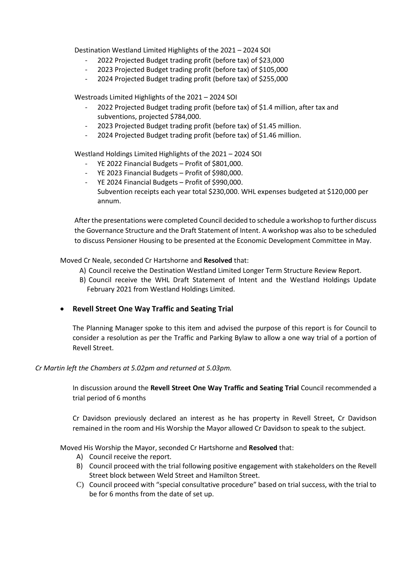Destination Westland Limited Highlights of the 2021 – 2024 SOI

- 2022 Projected Budget trading profit (before tax) of \$23,000
- 2023 Projected Budget trading profit (before tax) of \$105,000
- 2024 Projected Budget trading profit (before tax) of \$255,000

Westroads Limited Highlights of the 2021 – 2024 SOI

- 2022 Projected Budget trading profit (before tax) of \$1.4 million, after tax and subventions, projected \$784,000.
- 2023 Projected Budget trading profit (before tax) of \$1.45 million.
- 2024 Projected Budget trading profit (before tax) of \$1.46 million.

Westland Holdings Limited Highlights of the 2021 – 2024 SOI

- YE 2022 Financial Budgets Profit of \$801,000.
- YE 2023 Financial Budgets Profit of \$980,000.
- YE 2024 Financial Budgets Profit of \$990,000. Subvention receipts each year total \$230,000. WHL expenses budgeted at \$120,000 per annum.

After the presentations were completed Council decided to schedule a workshop to further discuss the Governance Structure and the Draft Statement of Intent. A workshop was also to be scheduled to discuss Pensioner Housing to be presented at the Economic Development Committee in May.

Moved Cr Neale, seconded Cr Hartshorne and **Resolved** that:

- A) Council receive the Destination Westland Limited Longer Term Structure Review Report.
- B) Council receive the WHL Draft Statement of Intent and the Westland Holdings Update February 2021 from Westland Holdings Limited.
- **Revell Street One Way Traffic and Seating Trial**

The Planning Manager spoke to this item and advised the purpose of this report is for Council to consider a resolution as per the Traffic and Parking Bylaw to allow a one way trial of a portion of Revell Street.

#### *Cr Martin left the Chambers at 5.02pm and returned at 5.03pm.*

In discussion around the **Revell Street One Way Traffic and Seating Trial** Council recommended a trial period of 6 months

Cr Davidson previously declared an interest as he has property in Revell Street, Cr Davidson remained in the room and His Worship the Mayor allowed Cr Davidson to speak to the subject.

Moved His Worship the Mayor, seconded Cr Hartshorne and **Resolved** that:

- A) Council receive the report.
- B) Council proceed with the trial following positive engagement with stakeholders on the Revell Street block between Weld Street and Hamilton Street.
- C) Council proceed with "special consultative procedure" based on trial success, with the trial to be for 6 months from the date of set up.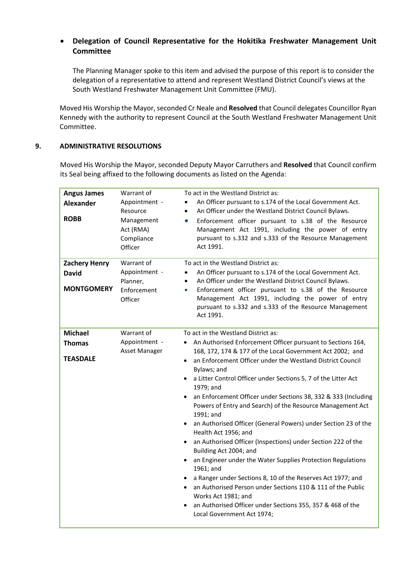## **Delegation of Council Representative for the Hokitika Freshwater Management Unit Committee**

The Planning Manager spoke to this item and advised the purpose of this report is to consider the delegation of a representative to attend and represent Westland District Council's views at the South Westland Freshwater Management Unit Committee (FMU).

Moved His Worship the Mayor, seconded Cr Neale and **Resolved** that Council delegates Councillor Ryan Kennedy with the authority to represent Council at the South Westland Freshwater Management Unit Committee.

#### **9. ADMINISTRATIVE RESOLUTIONS**

Moved His Worship the Mayor, seconded Deputy Mayor Carruthers and **Resolved** that Council confirm its Seal being affixed to the following documents as listed on the Agenda:

| <b>Angus James</b><br><b>Alexander</b><br><b>ROBB</b>     | Warrant of<br>Appointment -<br>Resource<br>Management<br>Act (RMA)<br>Compliance<br>Officer | To act in the Westland District as:<br>An Officer pursuant to s.174 of the Local Government Act.<br>An Officer under the Westland District Council Bylaws.<br>$\bullet$<br>Enforcement officer pursuant to s.38 of the Resource<br>$\bullet$<br>Management Act 1991, including the power of entry<br>pursuant to s.332 and s.333 of the Resource Management<br>Act 1991.                                                                                                                                                                                                                                                                                                                                                                                                                                                                                                                                                                                                                                                                      |
|-----------------------------------------------------------|---------------------------------------------------------------------------------------------|-----------------------------------------------------------------------------------------------------------------------------------------------------------------------------------------------------------------------------------------------------------------------------------------------------------------------------------------------------------------------------------------------------------------------------------------------------------------------------------------------------------------------------------------------------------------------------------------------------------------------------------------------------------------------------------------------------------------------------------------------------------------------------------------------------------------------------------------------------------------------------------------------------------------------------------------------------------------------------------------------------------------------------------------------|
| <b>Zachery Henry</b><br><b>David</b><br><b>MONTGOMERY</b> | Warrant of<br>Appointment -<br>Planner,<br>Enforcement<br>Officer                           | To act in the Westland District as:<br>An Officer pursuant to s.174 of the Local Government Act.<br>$\bullet$<br>An Officer under the Westland District Council Bylaws.<br>$\bullet$<br>Enforcement officer pursuant to s.38 of the Resource<br>$\bullet$<br>Management Act 1991, including the power of entry<br>pursuant to s.332 and s.333 of the Resource Management<br>Act 1991.                                                                                                                                                                                                                                                                                                                                                                                                                                                                                                                                                                                                                                                         |
| <b>Michael</b><br><b>Thomas</b><br><b>TEASDALE</b>        | Warrant of<br>Appointment -<br><b>Asset Manager</b>                                         | To act in the Westland District as:<br>An Authorised Enforcement Officer pursuant to Sections 164,<br>$\bullet$<br>168, 172, 174 & 177 of the Local Government Act 2002; and<br>an Enforcement Officer under the Westland District Council<br>$\bullet$<br>Bylaws; and<br>a Litter Control Officer under Sections 5, 7 of the Litter Act<br>$\bullet$<br>1979; and<br>an Enforcement Officer under Sections 38, 332 & 333 (Including<br>Powers of Entry and Search) of the Resource Management Act<br>1991; and<br>an Authorised Officer (General Powers) under Section 23 of the<br>Health Act 1956; and<br>an Authorised Officer (Inspections) under Section 222 of the<br>$\bullet$<br>Building Act 2004; and<br>an Engineer under the Water Supplies Protection Regulations<br>1961; and<br>a Ranger under Sections 8, 10 of the Reserves Act 1977; and<br>an Authorised Person under Sections 110 & 111 of the Public<br>Works Act 1981; and<br>an Authorised Officer under Sections 355, 357 & 468 of the<br>Local Government Act 1974; |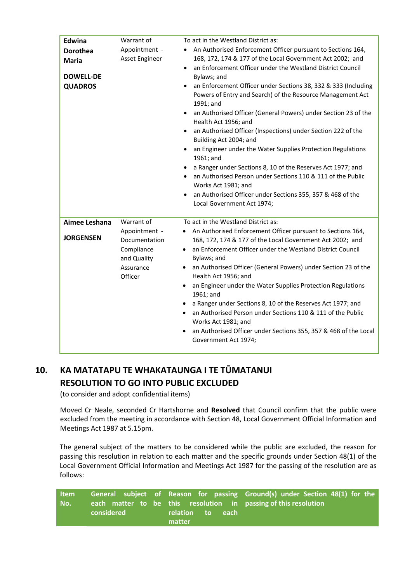| Edwina                                                                | Warrant of                                                                                        | To act in the Westland District as:                                                                                                                                                                                                                                                                                                                                                                                                                                                                                                                                                                                                                                                                                                                                                                                                                                                                                                  |  |
|-----------------------------------------------------------------------|---------------------------------------------------------------------------------------------------|--------------------------------------------------------------------------------------------------------------------------------------------------------------------------------------------------------------------------------------------------------------------------------------------------------------------------------------------------------------------------------------------------------------------------------------------------------------------------------------------------------------------------------------------------------------------------------------------------------------------------------------------------------------------------------------------------------------------------------------------------------------------------------------------------------------------------------------------------------------------------------------------------------------------------------------|--|
| <b>Dorothea</b><br><b>Maria</b><br><b>DOWELL-DE</b><br><b>QUADROS</b> | Appointment -<br>Asset Engineer                                                                   | An Authorised Enforcement Officer pursuant to Sections 164,<br>168, 172, 174 & 177 of the Local Government Act 2002; and<br>an Enforcement Officer under the Westland District Council<br>$\bullet$<br>Bylaws; and<br>an Enforcement Officer under Sections 38, 332 & 333 (Including<br>Powers of Entry and Search) of the Resource Management Act<br>1991; and<br>an Authorised Officer (General Powers) under Section 23 of the<br>$\bullet$<br>Health Act 1956; and<br>an Authorised Officer (Inspections) under Section 222 of the<br>$\bullet$<br>Building Act 2004; and<br>an Engineer under the Water Supplies Protection Regulations<br>1961; and<br>a Ranger under Sections 8, 10 of the Reserves Act 1977; and<br>an Authorised Person under Sections 110 & 111 of the Public<br>$\bullet$<br>Works Act 1981; and<br>an Authorised Officer under Sections 355, 357 & 468 of the<br>$\bullet$<br>Local Government Act 1974; |  |
| Aimee Leshana<br><b>JORGENSEN</b>                                     | Warrant of<br>Appointment -<br>Documentation<br>Compliance<br>and Quality<br>Assurance<br>Officer | To act in the Westland District as:<br>An Authorised Enforcement Officer pursuant to Sections 164,<br>168, 172, 174 & 177 of the Local Government Act 2002; and<br>• an Enforcement Officer under the Westland District Council<br>Bylaws; and<br>an Authorised Officer (General Powers) under Section 23 of the<br>Health Act 1956; and<br>an Engineer under the Water Supplies Protection Regulations<br>$\bullet$<br>1961; and<br>a Ranger under Sections 8, 10 of the Reserves Act 1977; and<br>an Authorised Person under Sections 110 & 111 of the Public<br>Works Act 1981; and<br>an Authorised Officer under Sections 355, 357 & 468 of the Local<br>Government Act 1974;                                                                                                                                                                                                                                                   |  |

# **10. KA MATATAPU TE WHAKATAUNGA I TE TŪMATANUI RESOLUTION TO GO INTO PUBLIC EXCLUDED**

(to consider and adopt confidential items)

 Moved Cr Neale, seconded Cr Hartshorne and **Resolved** that Council confirm that the public were excluded from the meeting in accordance with Section 48, Local Government Official Information and Meetings Act 1987 at 5.15pm.

The general subject of the matters to be considered while the public are excluded, the reason for passing this resolution in relation to each matter and the specific grounds under Section 48(1) of the Local Government Official Information and Meetings Act 1987 for the passing of the resolution are as follows:

| ltem.<br>No. |            |                            | General subject of Reason for passing Ground(s) under Section 48(1) for the<br>each matter to be this resolution in passing of this resolution |
|--------------|------------|----------------------------|------------------------------------------------------------------------------------------------------------------------------------------------|
|              | considered | relation to each<br>matter |                                                                                                                                                |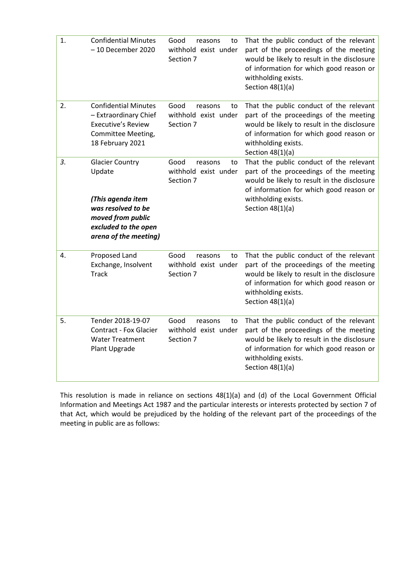| 1. | <b>Confidential Minutes</b><br>$-10$ December 2020                                                                          | Good<br>reasons<br>to<br>withhold exist under<br>Section 7 | That the public conduct of the relevant<br>part of the proceedings of the meeting<br>would be likely to result in the disclosure<br>of information for which good reason or<br>withholding exists.<br>Section $48(1)(a)$ |
|----|-----------------------------------------------------------------------------------------------------------------------------|------------------------------------------------------------|--------------------------------------------------------------------------------------------------------------------------------------------------------------------------------------------------------------------------|
| 2. | <b>Confidential Minutes</b><br>- Extraordinary Chief<br><b>Executive's Review</b><br>Committee Meeting,<br>18 February 2021 | Good<br>reasons<br>to<br>withhold exist under<br>Section 7 | That the public conduct of the relevant<br>part of the proceedings of the meeting<br>would be likely to result in the disclosure<br>of information for which good reason or<br>withholding exists.<br>Section $48(1)(a)$ |
| 3. | <b>Glacier Country</b><br>Update                                                                                            | Good<br>reasons<br>to<br>withhold exist under<br>Section 7 | That the public conduct of the relevant<br>part of the proceedings of the meeting<br>would be likely to result in the disclosure<br>of information for which good reason or                                              |
|    | (This agenda item<br>was resolved to be<br>moved from public<br>excluded to the open<br>arena of the meeting)               |                                                            | withholding exists.<br>Section 48(1)(a)                                                                                                                                                                                  |
| 4. | Proposed Land<br>Exchange, Insolvent<br><b>Track</b>                                                                        | Good<br>reasons<br>to<br>withhold exist under<br>Section 7 | That the public conduct of the relevant<br>part of the proceedings of the meeting<br>would be likely to result in the disclosure<br>of information for which good reason or<br>withholding exists.<br>Section $48(1)(a)$ |
| 5. | Tender 2018-19-07<br><b>Contract - Fox Glacier</b><br><b>Water Treatment</b><br>Plant Upgrade                               | Good<br>reasons<br>to<br>withhold exist under<br>Section 7 | That the public conduct of the relevant<br>part of the proceedings of the meeting<br>would be likely to result in the disclosure<br>of information for which good reason or<br>withholding exists.<br>Section $48(1)(a)$ |

This resolution is made in reliance on sections 48(1)(a) and (d) of the Local Government Official Information and Meetings Act 1987 and the particular interests or interests protected by section 7 of that Act, which would be prejudiced by the holding of the relevant part of the proceedings of the meeting in public are as follows: